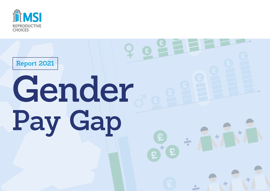

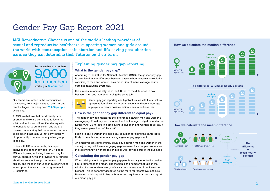# Gender Pay Gap Report 2021

**MSI Reproductive Choices is one of the world's leading providers of sexual and reproductive healthcare, supporting women and girls around the world with contraception, safe abortion and life-saving post-abortion care, so they can determine their futures, on their terms.**



Our teams are rooted in the communities they serve, from major cities to rural, hard-toreach villages, reaching over **75,000 people** every day.

At MSI, we believe that our diversity is our strength and we are committed to fostering a fair and inclusive culture. Gender equality is foundational to our mission, and we are focused on ensuring that there are no barriers or biases in place at MSI that deny equality of opportunity to women or any other group in society.

In line with UK requirements, this report analyses the gender pay gap for UK-based MSI employees, including those working for our UK operation, which provides NHS-funded abortion services through our network of clinics, and those in our London Support Office who support the work of our programmes in 37 countries.

## **Explaining gender pay gap reporting**

### **What is the gender pay gap?**

According to the Office for National Statistics (ONS), the gender pay gap is calculated as the difference between average hourly earnings (excluding overtime) of men and women, as a proportion of men's average hourly earnings (excluding overtime).

It is a measure across all jobs in the UK, not of the difference in pay between men and women for doing the same job.



Gender pay gap reporting can highlight issues with the structural representation of women in organisations and can encourage employers to create positive action plans to address this.

### **How is the gender pay gap different to equal pay?**

The gender pay gap measures the difference between men and women's average pay. Equal pay, on the other hand, is the legal obligation under the Equality Act 2010 requiring employers to give men and women equal pay if they are employed to do 'like work'.

Failing to pay a woman the same pay as a man for doing the same job is likely to be unlawful, whereas having a gender pay gap is not.

An employer providing entirely equal pay between men and women in the same job may still have a large pay gap because, for example, women are in predominantly lower grades or in less well-paying parts of the business.

### **Calculating the gender pay gap**

When talking about the gender pay gap people usually refer to the median figure rather than the mean. The median is the number that falls in the middle of a range when everyone's salaries are arranged from lowest to highest. This is generally accepted as the more representative measure. However, in this report, in line with reporting requirements, we also report our mean pay gap.



### **How we calculate the mean difference**

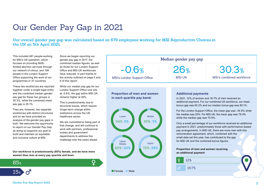# Our Gender Pay Gap in 2021

**Our overall gender pay gap was calculated based on 679 employees working for MSI Reproductive Choices in the UK on 5th April 2021.** 

This included 481 people working for MSI's UK operation, which focuses on providing NHSfunded abortion services through our network of clinics, and 198 people in the London Support Office supporting the work of our programmes in 37 countries.

These two workforces are reported together under a single legal entity and the combined median gender pay gap for these two groups is 30.3%, while the combined mean pay gap is 35.1%.

They are, however, two separate workforces with distinct structures and so we have provided an analysis of the gender pay gaps in both. We welcome the opportunity to report on our Gender Pay Gap as doing so supports our goal to build and maintain an equitable and inclusive culture at MSI.

Since we began reporting our gender pay gap in 2017, the combined median figures, as well as those for our London Support Office and MSI UK workforces have reduced, in part thanks to the activity outlined on page 5 and 6 of this report.

While our median pay gap for our London Support Office now sits at -0.6%, the gap within MSI UK remains higher at 26%.

This is predominantly due to structural issues, which require longer-term change within institutions across the UK healthcare sector.

We are committed to being part of that change, and will continue to work with partners, professional bodies and government departments to address this challenge over the years ahead.

**Our workforce is predominantly (85%) female, and we have more women than men at every pay quartile and level.**



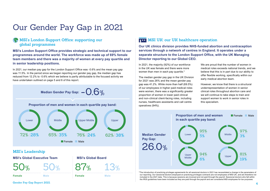# Our Gender Pay Gap in 2021

# **MSI's London Support Office: supporting our global programmes**

**MSI's London Support Office provides strategic and technical support to our programmes around the world. The workforce was made up of 69% female team members and there was a majority of women at every pay quartile and in senior leadership positions.**

In 2021, our median pay gap for the London Support Office was -0.6% and the mean pay gap was 11.5%. In the period since we began reporting our gender pay gap, the median gap has reduced from 12.2% to -0.6% which we believe is partly attributable to the focused activity we have undertaken outlined on page 5 and 6 of this report.

**Median Gender Pay Gap:**  $-\bigcirc$  6%

**Proportion of men and women in each quartile pay band:**



## **MSI's Leadership**

**MSI's Global Executive Team**

50% 50% 13%

**Male Female Female**

87%

**MSI's Global Board**

**Male**

# **MSI UK: our UK healthcare operation**

**Our UK clinics division provides NHS-funded abortion and contraception services through a network of centres in England. It operates under a separate structure to the London Support Office, with the UK Managing Director reporting to our Global CEO.**

In 2021, the majority (92%) of our workforce in the UK was female and there were more women than men in each pay quartile.\*

The median gender pay gap in the UK Division for 2021 was 26% and the mean gender pay gap was 41.2%. While more than half (69.5%) of our employees in higher paid medical roles were women, there was a significantly greater proportion of women in lower paid clinical and non-clinical client-facing roles, including nurses, healthcare assistants and call centre operatives (94%).

We are proud that the number of women in medical roles exceeds national trends, and we believe that this is in part due to our ability to offer flexible working, specifically within our early medical abortion team.

However, we know that there is a structural underrepresentation of women in senior clinical roles throughout abortion care and we will continue to take steps to train and support women to work in senior roles in this specialism.



\*The introduction of practicing privileges agreements for all sessional doctors in 2021 has necessitated a change in the parameters of our reporting. Our sessional doctors employed on practicing privileges contracts are not employees of MSI UK, and are therefore not included in the 2021 data. This is because sessions are invoiced and not paid through the payroll. Sessional doctors who fall within the IR35 guidelines have been included as they are paid through the payroll and are considered MSI employees for tax purposes.

**4 Gender Pay Gap Report 2021**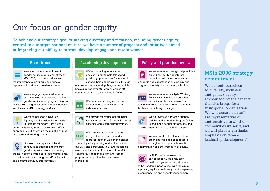# Our focus on gender equity

**To achieve our strategic goal of making diversity and inclusion, including gender equity, central to our organisational culture, we have a number of projects and initiatives aimed at improving our ability to attract, develop, engage and retain women.**

We've set out our commitment to gender equity in our global strategy, MSI 2030, which also reiterates the importance of pay parity and female representation at senior leadership level.

We've engaged specialist external consultancies to support our work on gender equity in our programming, as well as MSI's organisational Diversity, Equality and Inclusion (DEI) strategy and vision.

We've established a Diversity, Equality and Inclusion Panel, made up of team members from across our organisation, to focus on evolving MSI's approach to DEI by driving meaningful change in culture and working 'norms'.

Our Women's Equality Network  $\overline{Q}$ continues to address and integrate gender equality as a cross-cutting theme in client-centred care, equity and rights, to contribute to and strengthen MSI's impact and achieve our 2030 strategy goals.

## **Recruitment Leadership development Policy and practice review**

We're continuing to focus on developing our female talent and providing opportunities for women to expand their leadership skills through our Women in Leadership Programme, which has supported over 160 women across 10 countries since it was launched in 2020.

We provide coaching support for EE women across MSI via qualified in-house coaches.

> We provide mentoring opportunities for women across MSI through internal schemes and external programmes.

We have set up working groups **STEM** designed to address the underrepresentation of women in Science, Technology, Engineering and Mathematics (STEM), and particularly in STEM leadership roles, which continue to research how MSI can improve gender diversity and career progression opportunities for women

in this area.

 $\mathbf{z}_i$ 

We've introduced new global principles around pay parity and internal promotion, which set out minimum standards and expectations around pay and progression equity across the organisation.



We've introduced an Agile Working Policy which focuses on providing flexibility for those who need it and

continue to review ways of introducing a more flexible approach to job design.

We've reviewed our family-friendly policies at the London Support Office **AF** to challenge gender stereotypes and provide greater support to working parents.



In 2022, we're reviewing our pay philosophy, job evaluation methodology and salary structure

at the London support office, with the aim of improving equity, consistency and transparency in compensation and benefits management.

# **MSI's 2030 strategy commitment:**

We commit ourselves to diversity, inclusion and gender equity, acknowledging the benefits that this brings for a truly global organisation. We will ensure all staff are representative of, and sensitive to all the communities we serve, and we will place a particular emphasis on female leadership development."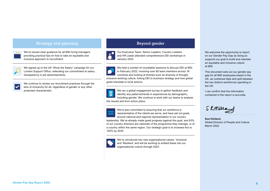## **Strategy and planning and strategy and planning and planning strategy and planning strategy and planning strategy**  $\frac{1}{2}$

**CONTRACT** 

We've issued clear guidance for all MSI hiring managers providing practical tips on how to take an equitable and inclusive approach to recruitment.



We signed up to the UK 'Show the Salary' campaign for our London Support Office, reiterating our commitment to salary transparency in job advertisements.

We continue to review our recruitment practices through the lens of inclusivity for all, regardless of gender or any other protected characteristic.

Our Executive Team, Senior Leaders, Country Leaders and HR Leads attended comprehensive DEI workshops in January 2022.

We held a number of roundtable sessions to discuss DEI at MSI in February 2022, involving over 80 team members across 18 countries and looking at themes such as diversity of thought, inclusive working culture, linking DEI to business strategy and how global goals translate to local actions.

We ran a global engagement survey to gather feedback and  $\equiv$ identify any patterns/trends in experiences by demographic, including gender. We continue to work with our teams to analyse the results and form action plans.

We're also committed to ensuring that our workforce is representative of the clients we serve, and have set out goals around national and regional representation in our country leadership. We've already made great progress against this goal, and 83% of our country directors are nationals of the programme they manage, or of a country within the same region. Our strategic goal is to increase this to 100% by 2030.

We've introduced two new organisational values: 'Inclusive' and 'Resilient' and will be working to embed these into our organisational culture through 2022.

We welcome the opportunity to report on our Gender Pay Gap as doing so supports our goal to build and maintain an equitable and inclusive culture at MSI.

This document sets out our gender pay gap for all MSI employees based in the UK, as combined data and split between the two distinct workforces operating in the UK.

I can confirm that the information contained in the report is accurate.

Skttalla

**Sue Holland**, Global Director of People and Culture March 2022